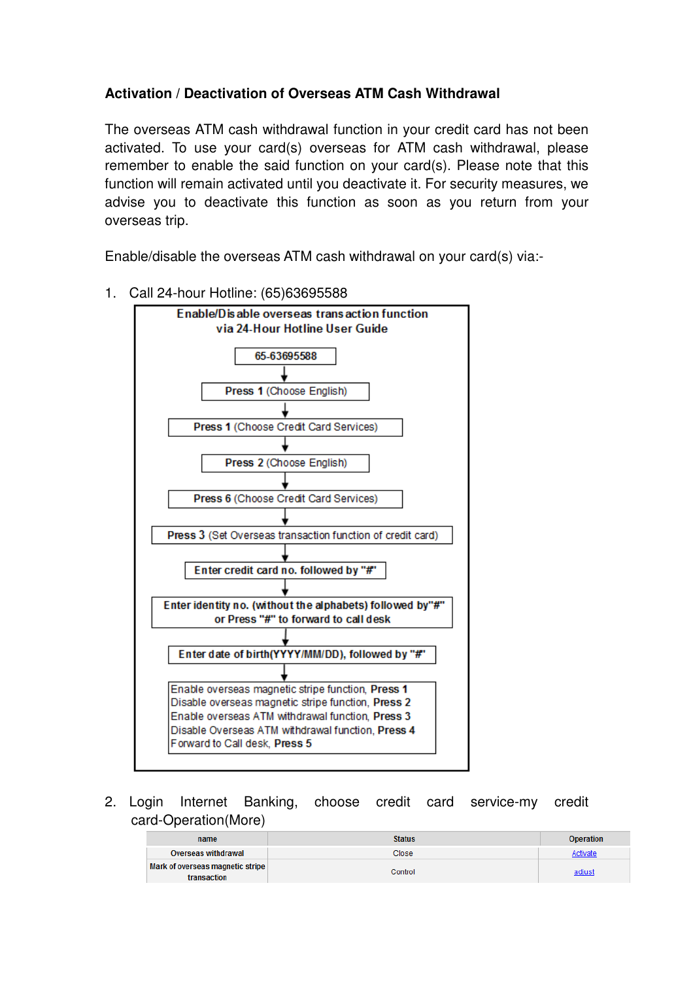# **Activation / Deactivation of Overseas ATM Cash Withdrawal**

The overseas ATM cash withdrawal function in your credit card has not been activated. To use your card(s) overseas for ATM cash withdrawal, please remember to enable the said function on your card(s). Please note that this function will remain activated until you deactivate it. For security measures, we advise you to deactivate this function as soon as you return from your overseas trip.

Enable/disable the overseas ATM cash withdrawal on your card(s) via:-



1. Call 24-hour Hotline: (65)63695588

2. Login Internet Banking, choose credit card service-my credit card-Operation(More)

| name                                            | <b>Status</b> | <b>Operation</b> |
|-------------------------------------------------|---------------|------------------|
| Overseas withdrawal                             | Close         | Activate         |
| Mark of overseas magnetic stripe<br>transaction | Control       | adjust           |